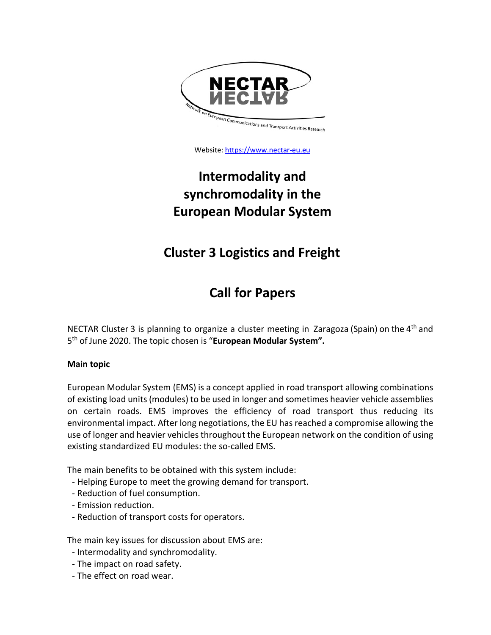

Website: [https://www.nectar-eu.eu](https://www.nectar-eu.eu/clusters/)

# **Intermodality and synchromodality in the European Modular System**

## **Cluster 3 Logistics and Freight**

## **Call for Papers**

NECTAR Cluster 3 is planning to organize a cluster meeting in Zaragoza (Spain) on the 4<sup>th</sup> and 5th of June 2020. The topic chosen is "**European Modular System".**

### **Main topic**

European Modular System (EMS) is a concept applied in road transport allowing combinations of existing load units (modules) to be used in longer and sometimes heavier vehicle assemblies on certain roads. EMS improves the efficiency of road transport thus reducing its environmental impact. After long negotiations, the EU has reached a compromise allowing the use of longer and heavier vehicles throughout the European network on the condition of using existing standardized EU modules: the so-called EMS.

The main benefits to be obtained with this system include:

- Helping Europe to meet the growing demand for transport.
- Reduction of fuel consumption.
- Emission reduction.
- Reduction of transport costs for operators.

The main key issues for discussion about EMS are:

- Intermodality and synchromodality.
- The impact on road safety.
- The effect on road wear.